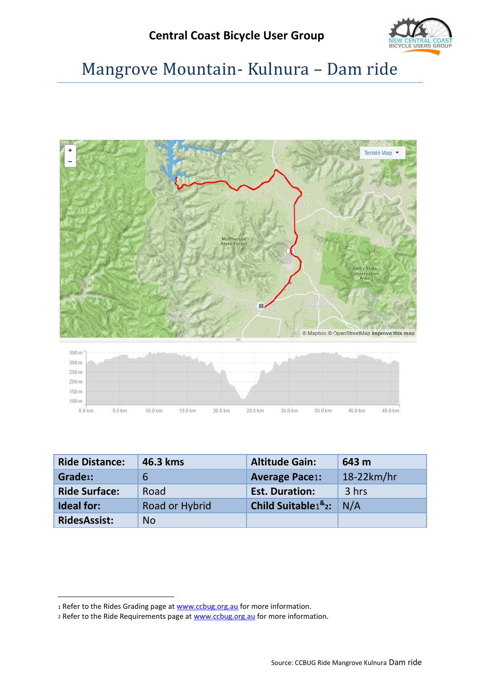

# Mangrove Mountain- Kulnura – Dam ride



<span id="page-0-0"></span>

| <b>Ride Distance:</b> | 46.3 kms       | <b>Altitude Gain:</b>                           | 643 m        |
|-----------------------|----------------|-------------------------------------------------|--------------|
| Grade <sub>1</sub> :  | 6              | <b>Average Pace1:</b>                           | $18-22km/hr$ |
| <b>Ride Surface:</b>  | Road           | <b>Est. Duration:</b>                           | 3 hrs        |
| <b>Ideal for:</b>     | Road or Hybrid | Child Suitable <sup>18</sup> <sub>2</sub> : N/A |              |
| <b>RidesAssist:</b>   | <b>No</b>      |                                                 |              |

1

<sup>1</sup> Refer to the Rides Grading page at [www.ccbug.org.au](http://www.ccbug.org.au/) for more information.

<sup>2</sup> Refer to the Ride Requirements page a[t www.ccbug.org.au](http://www.ccbug.org.au/) for more information.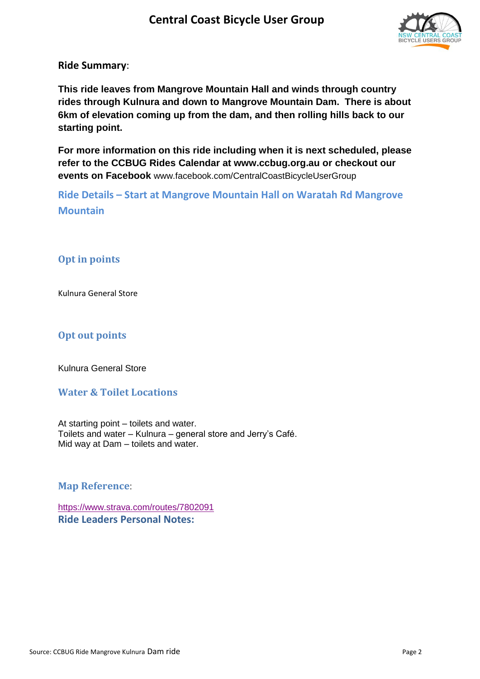

**Ride Summary**:

**This ride leaves from Mangrove Mountain Hall and winds through country rides through Kulnura and down to Mangrove Mountain Dam. There is about 6km of elevation coming up from the dam, and then rolling hills back to our starting point.** 

**For more information on this ride including when it is next scheduled, please refer to the CCBUG Rides Calendar at www.ccbug.org.au or checkout our events on Facebook** [www.facebook.com/CentralCoastBicycleUserGroup](http://www.facebook.com/CentralCoastBicycleUserGroup)

**Ride Details – Start at Mangrove Mountain Hall on Waratah Rd Mangrove Mountain**

### **Opt in points**

Kulnura General Store

#### **Opt out points**

Kulnura General Store

#### **Water & Toilet Locations**

At starting point – toilets and water. Toilets and water – Kulnura – general store and Jerry's Café. Mid way at Dam – toilets and water.

**Map Reference**:

<https://www.strava.com/routes/7802091> **Ride Leaders Personal Notes:**